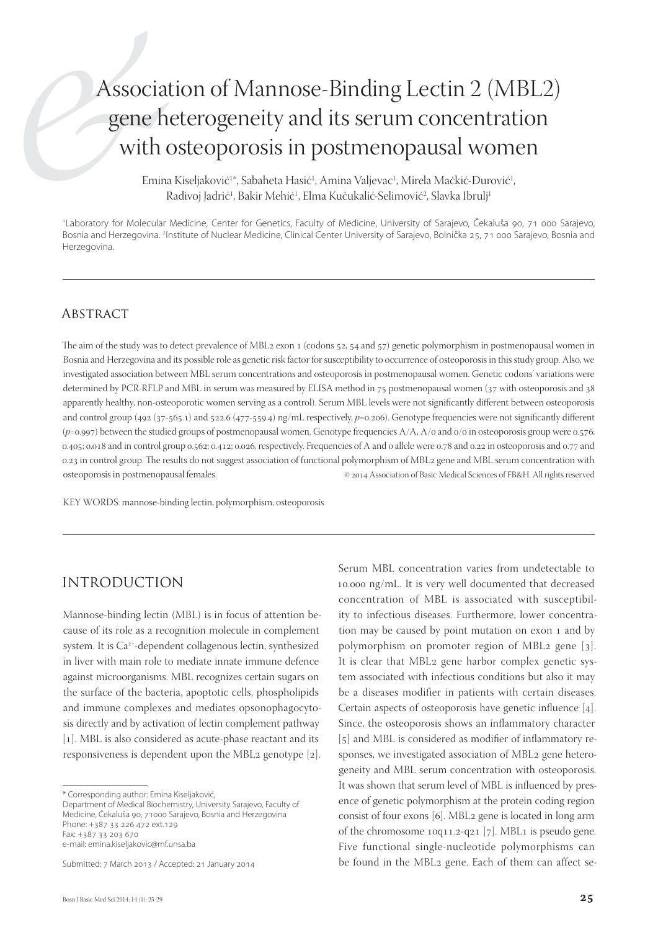# Association of Mannose-Binding Lectin 2 (MBL2) gene heterogeneity and its serum concentration with osteoporosis in postmenopausal women

Emina Kiseljaković<sup>1</sup>\*, Sabaheta Hasić<sup>1</sup>, Amina Valjevac<sup>1</sup>, Mirela Mačkić-Đurović<sup>1</sup>, Radivoj Jadrić<sup>1</sup>, Bakir Mehić<sup>1</sup>, Elma Kučukalić-Selimović<sup>2</sup>, Slavka Ibrulj<sup>1</sup>

1 Laboratory for Molecular Medicine, Center for Genetics, Faculty of Medicine, University of Sarajevo, Čekaluša 90, 71 000 Sarajevo, Bosnia and Herzegovina. <sup>2</sup>Institute of Nuclear Medicine, Clinical Center University of Sarajevo, Bolnička 25, 71 000 Sarajevo, Bosnia and Herzegovina.

## **ABSTRACT**

The aim of the study was to detect prevalence of MBL2 exon 1 (codons 52, 54 and 57) genetic polymorphism in postmenopausal women in Bosnia and Herzegovina and its possible role as genetic risk factor for susceptibility to occurrence of osteoporosis in this study group. Also, we investigated association between MBL serum concentrations and osteoporosis in postmenopausal women. Genetic codons' variations were determined by PCR-RFLP and MBL in serum was measured by ELISA method in 75 postmenopausal women (37 with osteoporosis and 38 apparently healthy, non-osteoporotic women serving as a control). Serum MBL levels were not significantly different between osteoporosis and control group (492 (37-565.1) and 522.6 (477-559.4) ng/mL respectively,  $p=0.206$ ). Genotype frequencies were not significantly different  $(p=0.997)$  between the studied groups of postmenopausal women. Genotype frequencies  $A/A$ ,  $A/o$  and  $o/o$  in osteoporosis group were  $0.576$ ; 0.405; 0.018 and in control group 0.562; 0.412; 0.026, respectively. Frequencies of A and 0 allele were 0.78 and 0.22 in osteoporosis and 0.77 and 0.23 in control group. The results do not suggest association of functional polymorphism of MBL2 gene and MBL serum concentration with osteoporosis in postmenopausal females.  $\otimes$  2014 Association of Basic Medical Sciences of FB&H. All rights reserved

KEY WORDS: mannose-binding lectin, polymorphism, osteoporosis

## INTRODUCTION

Mannose-binding lectin (MBL) is in focus of attention because of its role as a recognition molecule in complement system. It is Ca<sup>2+</sup>-dependent collagenous lectin, synthesized in liver with main role to mediate innate immune defence against microorganisms. MBL recognizes certain sugars on the surface of the bacteria, apoptotic cells, phospholipids and immune complexes and mediates opsonophagocytosis directly and by activation of lectin complement pathway [1]. MBL is also considered as acute-phase reactant and its responsiveness is dependent upon the MBL2 genotype [2].

Department of Medical Biochemistry, University Sarajevo, Faculty of Medicine, Čekaluša 90, 71000 Sarajevo, Bosnia and Herzegovina Phone: +387 33 226 472 ext.129 Fax: +387 33 203 670

e-mail: emina.kiseljakovic@mf.unsa.ba

Submitted: 7 March 2013 / Accepted: 21 January 2014

Serum MBL concentration varies from undetectable to 10.000 ng/mL. It is very well documented that decreased concentration of MBL is associated with susceptibility to infectious diseases. Furthermore, lower concentration may be caused by point mutation on exon 1 and by polymorphism on promoter region of MBL2 gene [3]. It is clear that MBL2 gene harbor complex genetic system associated with infectious conditions but also it may be a diseases modifier in patients with certain diseases. Certain aspects of osteoporosis have genetic influence  $[4]$ . Since, the osteoporosis shows an inflammatory character  $\lceil 5 \rceil$  and MBL is considered as modifier of inflammatory responses, we investigated association of MBL2 gene heterogeneity and MBL serum concentration with osteoporosis. It was shown that serum level of MBL is influenced by presence of genetic polymorphism at the protein coding region consist of four exons [6]. MBL2 gene is located in long arm of the chromosome  $10q11.2-q21$  [7]. MBL1 is pseudo gene. Five functional single-nucleotide polymorphisms can be found in the MBL2 gene. Each of them can affect se-

<sup>\*</sup> Corresponding author: Emina Kiseljaković,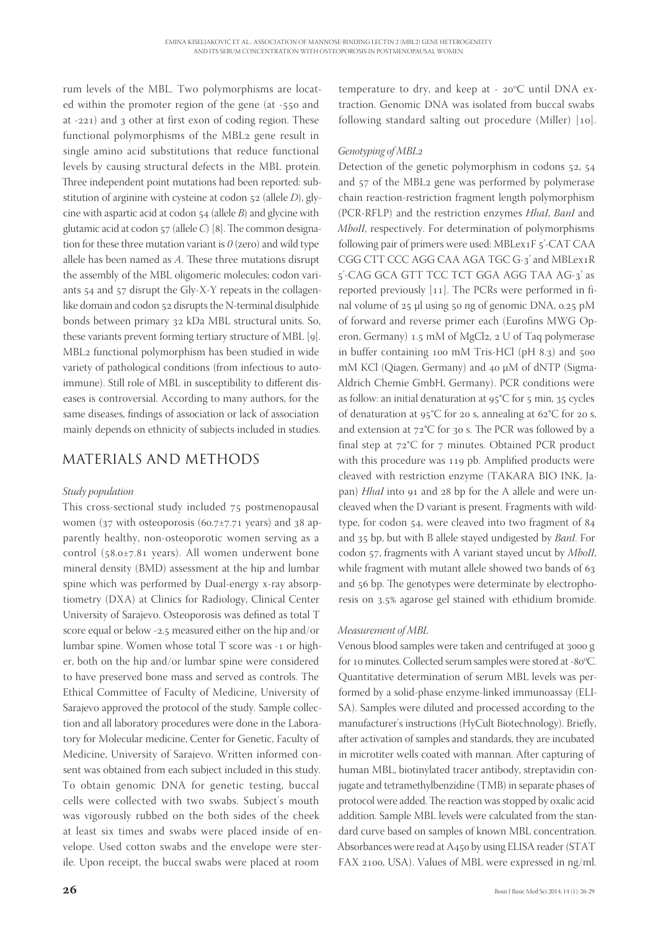rum levels of the MBL. Two polymorphisms are located within the promoter region of the gene (at -550 and at  $-221$ ) and 3 other at first exon of coding region. These functional polymorphisms of the MBL<sub>2</sub> gene result in single amino acid substitutions that reduce functional levels by causing structural defects in the MBL protein. Three independent point mutations had been reported: substitution of arginine with cysteine at codon 52 (allele *D*), glycine with aspartic acid at codon 54 (allele *B*) and glycine with glutamic acid at codon 57 (allele *C*) [8]. The common designation for these three mutation variant is  $\theta$  (zero) and wild type allele has been named as  $A$ . These three mutations disrupt the assembly of the MBL oligomeric molecules; codon variants  $54$  and  $57$  disrupt the Gly-X-Y repeats in the collagenlike domain and codon  $52$  disrupts the N-terminal disulphide bonds between primary 32 kDa MBL structural units. So, these variants prevent forming tertiary structure of MBL  $[g]$ . MBL<sub>2</sub> functional polymorphism has been studied in wide variety of pathological conditions (from infectious to autoimmune). Still role of MBL in susceptibility to different diseases is controversial. According to many authors, for the same diseases, findings of association or lack of association mainly depends on ethnicity of subjects included in studies.

## MATERIALS AND METHODS

## *Study population*

This cross-sectional study included 75 postmenopausal women ( $37$  with osteoporosis ( $60.7\pm7.71$  years) and  $38$  apparently healthy, non-osteoporotic women serving as a control ( $58.0 \pm 7.81$  years). All women underwent bone mineral density (BMD) assessment at the hip and lumbar spine which was performed by Dual-energy x-ray absorptiometry (DXA) at Clinics for Radiology, Clinical Center University of Sarajevo. Osteoporosis was defined as total T score equal or below -2.5 measured either on the hip and/or lumbar spine. Women whose total T score was -1 or higher, both on the hip and/or lumbar spine were considered to have preserved bone mass and served as controls. The Ethical Committee of Faculty of Medicine, University of Sarajevo approved the protocol of the study. Sample collection and all laboratory procedures were done in the Laboratory for Molecular medicine, Center for Genetic, Faculty of Medicine, University of Sarajevo. Written informed consent was obtained from each subject included in this study. To obtain genomic DNA for genetic testing, buccal cells were collected with two swabs. Subject's mouth was vigorously rubbed on the both sides of the cheek at least six times and swabs were placed inside of envelope. Used cotton swabs and the envelope were sterile. Upon receipt, the buccal swabs were placed at room

temperature to dry, and keep at -  $20^{\circ}$ C until DNA extraction. Genomic DNA was isolated from buccal swabs following standard salting out procedure (Miller)  $[10]$ .

## *Genotyping of MBL*

Detection of the genetic polymorphism in codons  $52, 54$ and 57 of the MBL2 gene was performed by polymerase chain reaction-restriction fragment length polymorphism (PCR-RFLP) and the restriction enzymes *HhaI*, *BanI* and *MboII*, respectively. For determination of polymorphisms following pair of primers were used: MBLex1F  $5'$ -CAT CAA CGG CTT CCC AGG CAA AGA TGC G-3' and MBLex1R 5'-CAG GCA GTT TCC TCT GGA AGG TAA AG-3' as reported previously  $[11]$ . The PCRs were performed in final volume of  $25 \mu l$  using  $50 \mu g$  of genomic DNA,  $0.25 \mu M$ of forward and reverse primer each (Eurofins MWG Operon, Germany)  $1.5 \text{ mM of MgCl}_2$ ,  $2 \text{ U of Taq polymerase}$ in buffer containing 100 mM Tris-HCl (pH  $8.3$ ) and 500 mM KCl (Qiagen, Germany) and 40 μM of dNTP (Sigma-Aldrich Chemie GmbH, Germany). PCR conditions were as follow: an initial denaturation at  $95^{\circ}$ C for  $5$  min,  $35$  cycles of denaturation at  $95^{\circ}$ C for 20 s, annealing at 62 $^{\circ}$ C for 20 s, and extension at  $72^{\circ}$ C for 30 s. The PCR was followed by a final step at  $72^{\circ}$ C for  $7$  minutes. Obtained PCR product with this procedure was 119 pb. Amplified products were cleaved with restriction enzyme (TAKARA BIO INK, Japan) *HhaI* into 91 and 28 bp for the A allele and were uncleaved when the D variant is present. Fragments with wildtype, for codon 54, were cleaved into two fragment of 84 and 35 bp, but with B allele stayed undigested by *BanI*. For codon 57, fragments with A variant stayed uncut by *MboII*, while fragment with mutant allele showed two bands of 63 and 56 bp. The genotypes were determinate by electrophoresis on 3.5% agarose gel stained with ethidium bromide.

### *Measurement of MBL*

Venous blood samples were taken and centrifuged at 3000 g for 10 minutes. Collected serum samples were stored at -80°C. Quantitative determination of serum MBL levels was performed by a solid-phase enzyme-linked immunoassay (ELI-SA). Samples were diluted and processed according to the manufacturer's instructions (HyCult Biotechnology). Briefly, after activation of samples and standards, they are incubated in microtiter wells coated with mannan. After capturing of human MBL, biotinylated tracer antibody, streptavidin conjugate and tetramethylbenzidine (TMB) in separate phases of protocol were added. The reaction was stopped by oxalic acid addition. Sample MBL levels were calculated from the standard curve based on samples of known MBL concentration. Absorbances were read at A450 by using ELISA reader (STAT FAX 2100, USA). Values of MBL were expressed in ng/ml.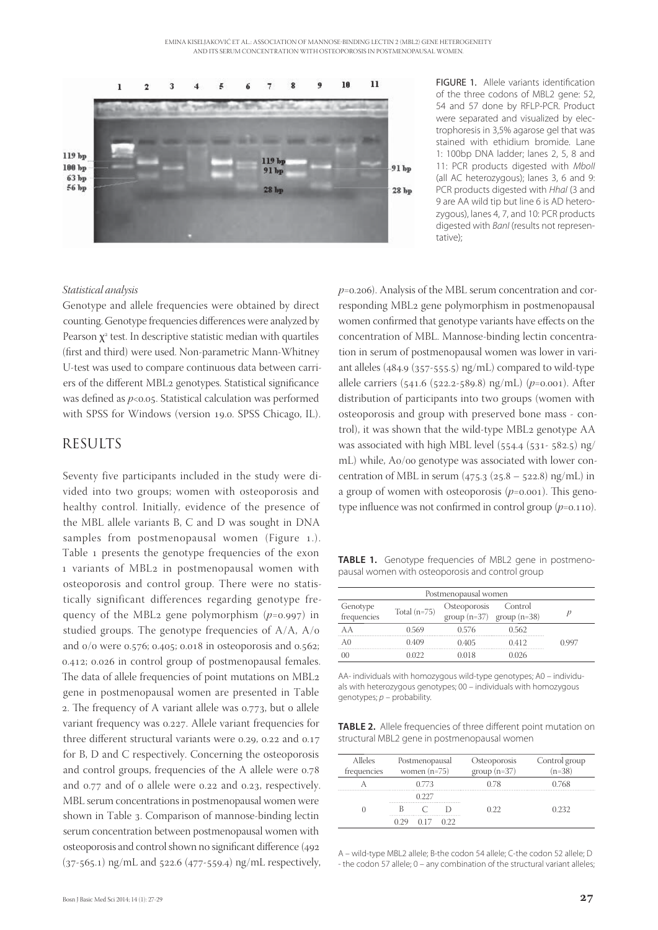

FIGURE 1. Allele variants identification of the three codons of MBL2 gene: 52, 54 and 57 done by RFLP-PCR. Product were separated and visualized by electrophoresis in 3,5% agarose gel that was stained with ethidium bromide. Lane 1: 100bp DNA ladder; lanes 2, 5, 8 and 11: PCR products digested with Mboll (all AC heterozygous); lanes 3, 6 and 9: PCR products digested with Hhal (3 and 9 are AA wild tip but line 6 is AD heterozygous), lanes 4, 7, and 10: PCR products digested with BanI (results not representative);

#### *Statistical analysis*

Genotype and allele frequencies were obtained by direct counting. Genotype frequencies differences were analyzed by Pearson  $\chi^2$  test. In descriptive statistic median with quartiles (first and third) were used. Non-parametric Mann-Whitney U-test was used to compare continuous data between carriers of the different MBL2 genotypes. Statistical significance was defined as  $p<0.05$ . Statistical calculation was performed with SPSS for Windows (version 19.0. SPSS Chicago, IL).

## RESULTS

Seventy five participants included in the study were divided into two groups; women with osteoporosis and healthy control. Initially, evidence of the presence of the MBL allele variants B, C and D was sought in DNA samples from postmenopausal women (Figure 1.). Table 1 presents the genotype frequencies of the exon 1 variants of MBL2 in postmenopausal women with osteoporosis and control group. There were no statistically significant differences regarding genotype frequency of the MBL<sub>2</sub> gene polymorphism  $(p=0.997)$  in studied groups. The genotype frequencies of  $A/A$ ,  $A/o$ and  $o/o$  were 0.576; 0.405; 0.018 in osteoporosis and 0.562; 0.412; 0.026 in control group of postmenopausal females. The data of allele frequencies of point mutations on MBL2 gene in postmenopausal women are presented in Table 2. The frequency of A variant allele was  $0.773$ , but o allele variant frequency was 0.227. Allele variant frequencies for three different structural variants were  $0.29$ ,  $0.22$  and  $0.17$ for B, D and C respectively. Concerning the osteoporosis and control groups, frequencies of the A allele were 0.78 and  $0.77$  and of  $\sigma$  allele were  $0.22$  and  $0.23$ , respectively. MBL serum concentrations in postmenopausal women were shown in Table 3. Comparison of mannose-binding lectin serum concentration between postmenopausal women with osteoporosis and control shown no significant difference (492)  $(37-565.1)$  ng/mL and  $522.6$   $(477-559.4)$  ng/mL respectively,  $p$ =0.206). Analysis of the MBL serum concentration and corresponding MBL<sub>2</sub> gene polymorphism in postmenopausal women confirmed that genotype variants have effects on the concentration of MBL. Mannose-binding lectin concentration in serum of postmenopausal women was lower in variant alleles  $(484.9 (357 - 555.5)$  ng/mL) compared to wild-type allele carriers  $(541.6 (522.2 - 589.8)$  ng/mL)  $(p=0.001)$ . After distribution of participants into two groups (women with osteoporosis and group with preserved bone mass - control), it was shown that the wild-type MBL2 genotype AA was associated with high MBL level  $(554.4 (531 - 582.5)$  ng/ mL) while, A0/00 genotype was associated with lower concentration of MBL in serum  $(475.3 (25.8 - 522.8)$  ng/mL) in a group of women with osteoporosis  $(p=0.001)$ . This genotype influence was not confirmed in control group  $(p=0.110)$ .

**TABLE 1.** Genotype frequencies of MBL2 gene in postmenopausal women with osteoporosis and control group

| Postmenopausal women    |                |                                                       |     |  |  |  |  |
|-------------------------|----------------|-------------------------------------------------------|-----|--|--|--|--|
| Genotype<br>frequencies | Total $(n=75)$ | Osteoporosis Control<br>group $(n=37)$ group $(n=38)$ |     |  |  |  |  |
|                         |                | 0.576                                                 |     |  |  |  |  |
|                         |                | 0.405                                                 | 412 |  |  |  |  |
|                         |                |                                                       |     |  |  |  |  |

AA- individuals with homozygous wild-type genotypes; A0 – individuals with heterozygous genotypes; 00 – individuals with homozygous genotypes;  $p$  – probability.

**TABLE 2.** Allele frequencies of three different point mutation on structural MBL2 gene in postmenopausal women

| Alleles<br>frequencies | Postmenopausal<br>women $(n=75)$ | Osteoporosis<br>$up(n=37)$ | Control group<br>$(n=38)$ |
|------------------------|----------------------------------|----------------------------|---------------------------|
|                        |                                  | -78                        | 0.768                     |
|                        |                                  |                            |                           |
|                        |                                  |                            |                           |
|                        |                                  |                            |                           |

A – wild-type MBL2 allele; B-the codon 54 allele; C-the codon 52 allele; D - the codon 57 allele; 0 – any combination of the structural variant alleles;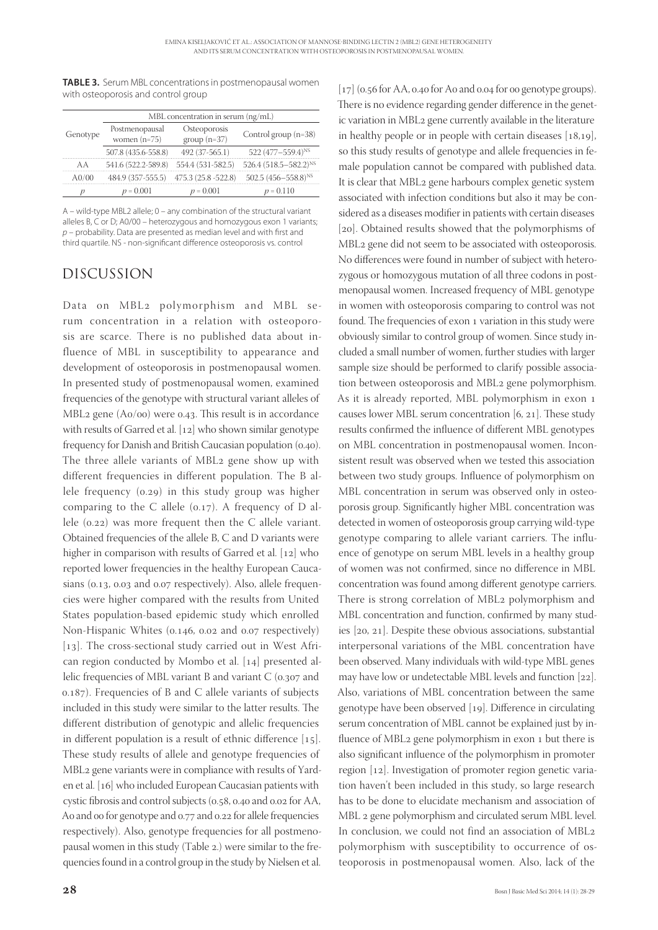|          | MBL concentration in serum (ng/mL) |                               |                                   |  |  |  |
|----------|------------------------------------|-------------------------------|-----------------------------------|--|--|--|
| Genotype | Postmenopausal<br>women $(n=75)$   | Osteoporosis<br>$group(n=37)$ | Control group $(n=38)$            |  |  |  |
|          | 507.8 (435.6-558.8)                | 492 (37-565.1)                | 522 (477-559.4) <sup>NS</sup>     |  |  |  |
|          | 541.6 (522.2-589.8)                | 554.4 (531-582.5)             | 526.4 (518.5-582.2) <sup>NS</sup> |  |  |  |
| A0/00    | 484.9 (357-555.5)                  | 475.3 (25.8 - 522.8)          | $502.5 (456 - 558.8)^{NS}$        |  |  |  |
|          | p = 0.001                          | $p = 0.001$                   | $p = 0.110$                       |  |  |  |

**TABLE 3.** Serum MBL concentrations in postmenopausal women with osteoporosis and control group

A – wild-type MBL2 allele; 0 – any combination of the structural variant alleles B, C or D; A0/00 – heterozygous and homozygous exon 1 variants;  $p$  – probability. Data are presented as median level and with first and third quartile. NS - non-significant difference osteoporosis vs. control

# DISCUSSION

Data on MBL2 polymorphism and MBL serum concentration in a relation with osteoporosis are scarce. There is no published data about influence of MBL in susceptibility to appearance and development of osteoporosis in postmenopausal women. In presented study of postmenopausal women, examined frequencies of the genotype with structural variant alleles of MBL2 gene (A0/00) were 0.43. This result is in accordance with results of Garred et al.  $[12]$  who shown similar genotype frequency for Danish and British Caucasian population  $(0.40)$ . The three allele variants of MBL2 gene show up with different frequencies in different population. The B allele frequency  $(0.29)$  in this study group was higher comparing to the C allele  $(0.17)$ . A frequency of D allele  $(0.22)$  was more frequent then the C allele variant. Obtained frequencies of the allele B, C and D variants were higher in comparison with results of Garred et al.  $[12]$  who reported lower frequencies in the healthy European Caucasians  $(0.13, 0.03$  and  $0.07$  respectively). Also, allele frequencies were higher compared with the results from United States population-based epidemic study which enrolled Non-Hispanic Whites (0.146, 0.02 and 0.07 respectively)  $[13]$ . The cross-sectional study carried out in West African region conducted by Mombo et al. [14] presented allelic frequencies of MBL variant B and variant C  $(0.307$  and .). Frequencies of B and C allele variants of subjects included in this study were similar to the latter results. The different distribution of genotypic and allelic frequencies in different population is a result of ethnic difference  $[15]$ . These study results of allele and genotype frequencies of MBL2 gene variants were in compliance with results of Yarden et al. [16] who included European Caucasian patients with cystic fibrosis and control subjects (0.58, 0.40 and 0.02 for AA, Ao and oo for genotype and 0.77 and 0.22 for allele frequencies respectively). Also, genotype frequencies for all postmenopausal women in this study (Table 2.) were similar to the frequencies found in a control group in the study by Nielsen et al.  $\left[17\right]$  (0.56 for AA, 0.40 for Ao and 0.04 for 00 genotype groups). There is no evidence regarding gender difference in the genetic variation in MBL2 gene currently available in the literature in healthy people or in people with certain diseases  $[18,19]$ , so this study results of genotype and allele frequencies in female population cannot be compared with published data. It is clear that MBL2 gene harbours complex genetic system associated with infection conditions but also it may be considered as a diseases modifier in patients with certain diseases [20]. Obtained results showed that the polymorphisms of MBL<sub>2</sub> gene did not seem to be associated with osteoporosis. No differences were found in number of subject with heterozygous or homozygous mutation of all three codons in postmenopausal women. Increased frequency of MBL genotype in women with osteoporosis comparing to control was not found. The frequencies of exon 1 variation in this study were obviously similar to control group of women. Since study included a small number of women, further studies with larger sample size should be performed to clarify possible association between osteoporosis and MBL2 gene polymorphism. As it is already reported, MBL polymorphism in exon causes lower MBL serum concentration  $[6, 21]$ . These study results confirmed the influence of different MBL genotypes on MBL concentration in postmenopausal women. Inconsistent result was observed when we tested this association between two study groups. Influence of polymorphism on MBL concentration in serum was observed only in osteoporosis group. Significantly higher MBL concentration was detected in women of osteoporosis group carrying wild-type genotype comparing to allele variant carriers. The influence of genotype on serum MBL levels in a healthy group of women was not confirmed, since no difference in MBL concentration was found among different genotype carriers. There is strong correlation of MBL2 polymorphism and MBL concentration and function, confirmed by many studies  $[20, 21]$ . Despite these obvious associations, substantial interpersonal variations of the MBL concentration have been observed. Many individuals with wild-type MBL genes may have low or undetectable MBL levels and function  $[22]$ . Also, variations of MBL concentration between the same genotype have been observed [19]. Difference in circulating serum concentration of MBL cannot be explained just by influence of MBL2 gene polymorphism in exon 1 but there is also significant influence of the polymorphism in promoter region  $[12]$ . Investigation of promoter region genetic variation haven't been included in this study, so large research has to be done to elucidate mechanism and association of MBL 2 gene polymorphism and circulated serum MBL level. In conclusion, we could not find an association of MBL polymorphism with susceptibility to occurrence of osteoporosis in postmenopausal women. Also, lack of the